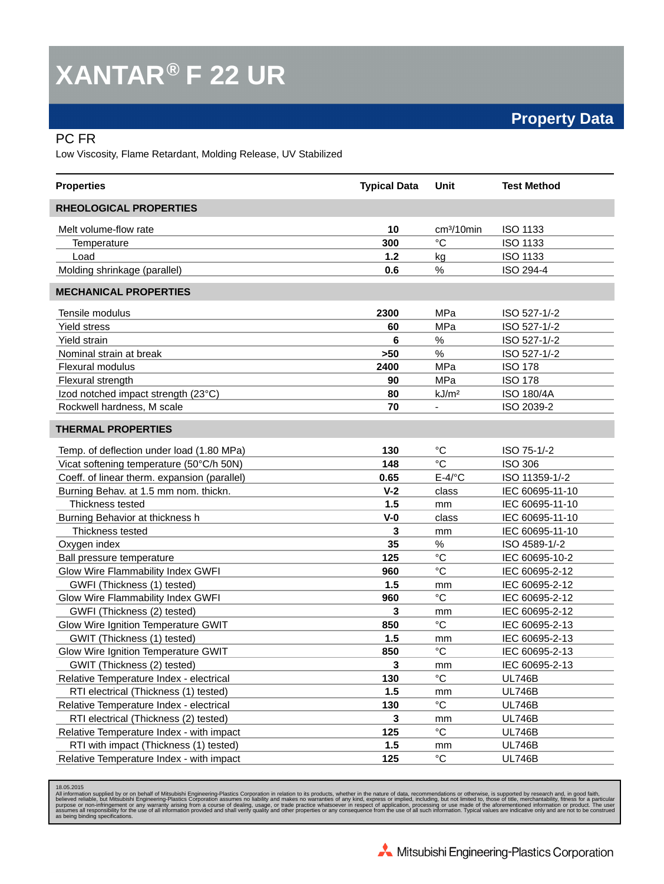## **XANTAR® F 22 UR**

## PC FR

Low Viscosity, Flame Retardant, Molding Release, UV Stabilized

| <b>Properties</b>                            | <b>Typical Data</b> | Unit              | <b>Test Method</b> |
|----------------------------------------------|---------------------|-------------------|--------------------|
| <b>RHEOLOGICAL PROPERTIES</b>                |                     |                   |                    |
| Melt volume-flow rate                        | 10                  | $cm3/10$ min      | <b>ISO 1133</b>    |
| Temperature                                  | 300                 | °C                | <b>ISO 1133</b>    |
| Load                                         | $1.2$               | kg                | <b>ISO 1133</b>    |
| Molding shrinkage (parallel)                 | 0.6                 | $\%$              | ISO 294-4          |
| <b>MECHANICAL PROPERTIES</b>                 |                     |                   |                    |
| Tensile modulus                              | 2300                | MPa               | ISO 527-1/-2       |
| <b>Yield stress</b>                          | 60                  | MPa               | ISO 527-1/-2       |
| <b>Yield strain</b>                          | 6                   | %                 | ISO 527-1/-2       |
| Nominal strain at break                      | $>50$               | %                 | ISO 527-1/-2       |
| <b>Flexural modulus</b>                      | 2400                | MPa               | <b>ISO 178</b>     |
| Flexural strength                            | 90                  | MPa               | <b>ISO 178</b>     |
| Izod notched impact strength (23°C)          | 80                  | kJ/m <sup>2</sup> | <b>ISO 180/4A</b>  |
| Rockwell hardness, M scale                   | 70                  |                   | ISO 2039-2         |
| <b>THERMAL PROPERTIES</b>                    |                     |                   |                    |
| Temp. of deflection under load (1.80 MPa)    | 130                 | $^{\circ}C$       | ISO 75-1/-2        |
| Vicat softening temperature (50°C/h 50N)     | 148                 | °C                | <b>ISO 306</b>     |
| Coeff. of linear therm. expansion (parallel) | 0.65                | $E-4$ /°C         | ISO 11359-1/-2     |
| Burning Behav. at 1.5 mm nom. thickn.        | $V-2$               | class             | IEC 60695-11-10    |
| Thickness tested                             | 1.5                 | mm                | IEC 60695-11-10    |
| Burning Behavior at thickness h              | $V-0$               | class             | IEC 60695-11-10    |
| Thickness tested                             | 3                   | mm                | IEC 60695-11-10    |
| Oxygen index                                 | 35                  | %                 | ISO 4589-1/-2      |
| Ball pressure temperature                    | 125                 | $\rm ^{\circ}C$   | IEC 60695-10-2     |
| Glow Wire Flammability Index GWFI            | 960                 | $^{\circ}C$       | IEC 60695-2-12     |
| GWFI (Thickness (1) tested)                  | 1.5                 | mm                | IEC 60695-2-12     |
| Glow Wire Flammability Index GWFI            | 960                 | °C                | IEC 60695-2-12     |
| GWFI (Thickness (2) tested)                  | 3                   | mm                | IEC 60695-2-12     |
| Glow Wire Ignition Temperature GWIT          | 850                 | °C                | IEC 60695-2-13     |
| GWIT (Thickness (1) tested)                  | 1.5                 | mm                | IEC 60695-2-13     |
| Glow Wire Ignition Temperature GWIT          | 850                 | $^{\circ}C$       | IEC 60695-2-13     |
| GWIT (Thickness (2) tested)                  | 3                   | mm                | IEC 60695-2-13     |
| Relative Temperature Index - electrical      | 130                 | °C                | UL746B             |
| RTI electrical (Thickness (1) tested)        | 1.5                 | mm                | <b>UL746B</b>      |
| Relative Temperature Index - electrical      | 130                 | $^{\circ}C$       | <b>UL746B</b>      |
| RTI electrical (Thickness (2) tested)        | 3                   | mm                | <b>UL746B</b>      |
| Relative Temperature Index - with impact     | 125                 | $^{\circ}C$       | <b>UL746B</b>      |
| RTI with impact (Thickness (1) tested)       | 1.5                 | mm                | <b>UL746B</b>      |
| Relative Temperature Index - with impact     | 125                 | $^{\circ}{\rm C}$ | <b>UL746B</b>      |

18.05.2015

All information supplied by or on behalf of Mitsubishi Engineering-Plastics Corporation in relation to its products, whether in the nature of data, recommendations or otherwise, is supported by research and, in good faith,